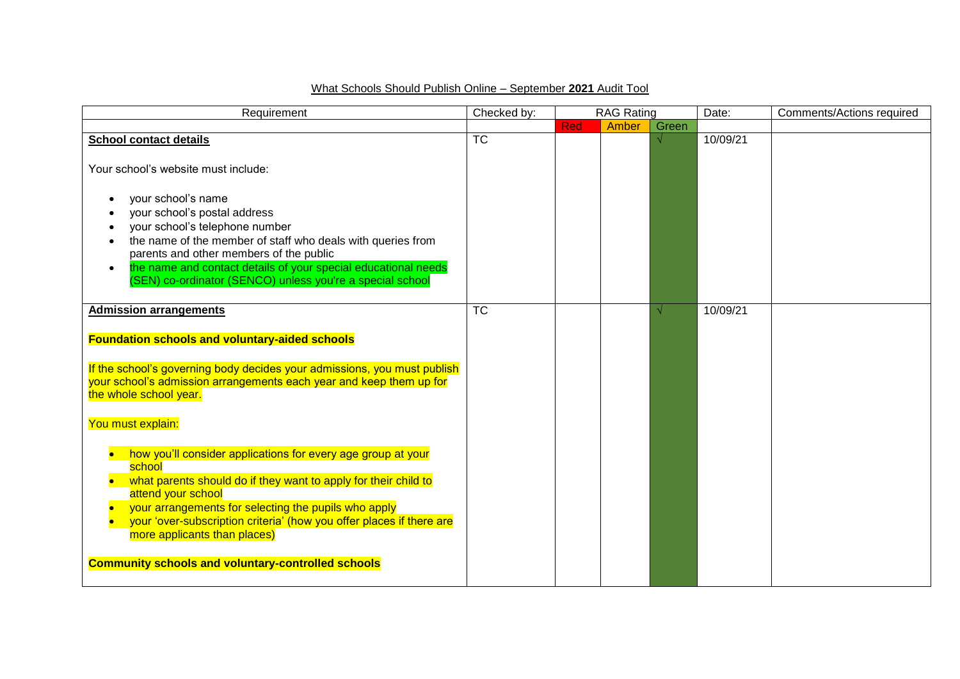## What Schools Should Publish Online – September **2021** Audit Tool

| Requirement                                                                                                                                                                                                                                                                                                                                | Checked by:     | <b>RAG Rating</b> |       | Date: | <b>Comments/Actions required</b> |  |
|--------------------------------------------------------------------------------------------------------------------------------------------------------------------------------------------------------------------------------------------------------------------------------------------------------------------------------------------|-----------------|-------------------|-------|-------|----------------------------------|--|
|                                                                                                                                                                                                                                                                                                                                            |                 | <b>Red</b>        | Amber | Green |                                  |  |
| <b>School contact details</b><br>Your school's website must include:                                                                                                                                                                                                                                                                       | TC              |                   |       |       | 10/09/21                         |  |
| your school's name<br>your school's postal address<br>your school's telephone number<br>the name of the member of staff who deals with queries from<br>parents and other members of the public<br>the name and contact details of your special educational needs<br>$\bullet$<br>(SEN) co-ordinator (SENCO) unless you're a special school |                 |                   |       |       |                                  |  |
| <b>Admission arrangements</b>                                                                                                                                                                                                                                                                                                              | $\overline{TC}$ |                   |       |       | 10/09/21                         |  |
| <b>Foundation schools and voluntary-aided schools</b><br>If the school's governing body decides your admissions, you must publish<br>your school's admission arrangements each year and keep them up for<br>the whole school year.<br>You must explain:                                                                                    |                 |                   |       |       |                                  |  |
|                                                                                                                                                                                                                                                                                                                                            |                 |                   |       |       |                                  |  |
| how you'll consider applications for every age group at your<br>school<br>what parents should do if they want to apply for their child to<br>attend your school<br>your arrangements for selecting the pupils who apply<br>your 'over-subscription criteria' (how you offer places if there are<br>more applicants than places)            |                 |                   |       |       |                                  |  |
| <b>Community schools and voluntary-controlled schools</b>                                                                                                                                                                                                                                                                                  |                 |                   |       |       |                                  |  |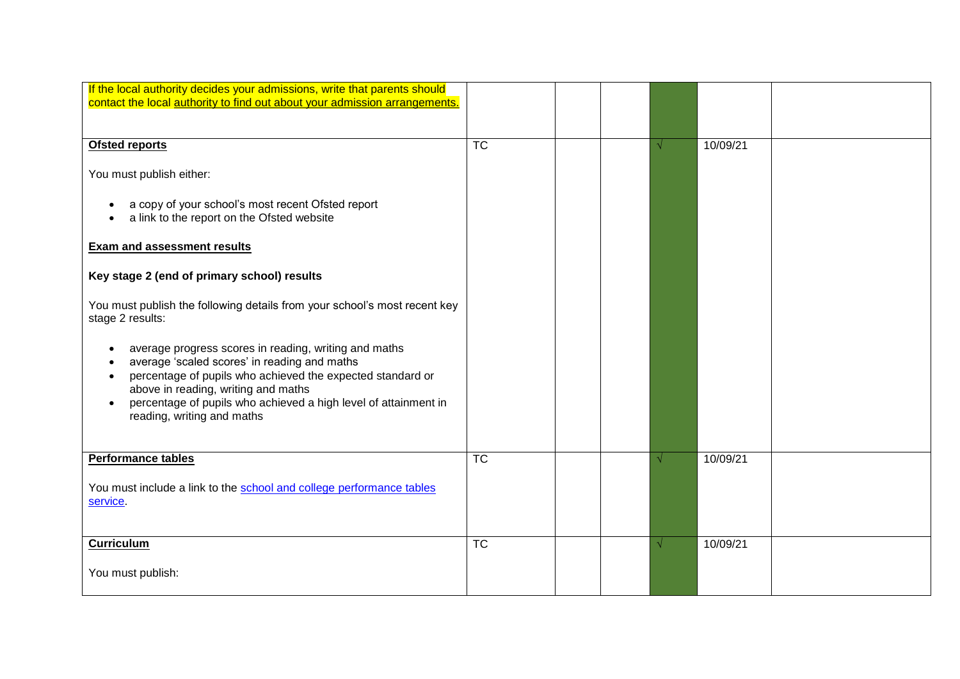| If the local authority decides your admissions, write that parents should                     |           |  |          |  |
|-----------------------------------------------------------------------------------------------|-----------|--|----------|--|
| contact the local authority to find out about your admission arrangements.                    |           |  |          |  |
|                                                                                               |           |  |          |  |
| <b>Ofsted reports</b>                                                                         | <b>TC</b> |  | 10/09/21 |  |
|                                                                                               |           |  |          |  |
| You must publish either:                                                                      |           |  |          |  |
| a copy of your school's most recent Ofsted report                                             |           |  |          |  |
| a link to the report on the Ofsted website                                                    |           |  |          |  |
|                                                                                               |           |  |          |  |
| <b>Exam and assessment results</b>                                                            |           |  |          |  |
|                                                                                               |           |  |          |  |
| Key stage 2 (end of primary school) results                                                   |           |  |          |  |
|                                                                                               |           |  |          |  |
| You must publish the following details from your school's most recent key<br>stage 2 results: |           |  |          |  |
|                                                                                               |           |  |          |  |
| average progress scores in reading, writing and maths                                         |           |  |          |  |
| average 'scaled scores' in reading and maths                                                  |           |  |          |  |
| percentage of pupils who achieved the expected standard or                                    |           |  |          |  |
| above in reading, writing and maths                                                           |           |  |          |  |
| percentage of pupils who achieved a high level of attainment in<br>reading, writing and maths |           |  |          |  |
|                                                                                               |           |  |          |  |
|                                                                                               |           |  |          |  |
| Performance tables                                                                            | <b>TC</b> |  | 10/09/21 |  |
|                                                                                               |           |  |          |  |
| You must include a link to the school and college performance tables                          |           |  |          |  |
| service.                                                                                      |           |  |          |  |
|                                                                                               |           |  |          |  |
| <b>Curriculum</b>                                                                             | <b>TC</b> |  | 10/09/21 |  |
|                                                                                               |           |  |          |  |
| You must publish:                                                                             |           |  |          |  |
|                                                                                               |           |  |          |  |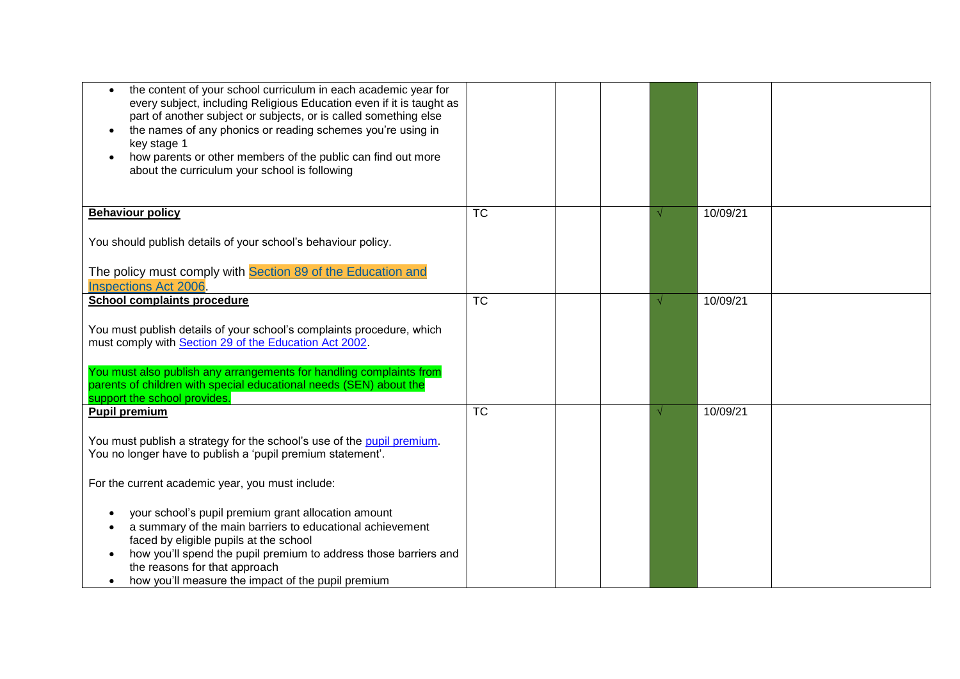| the content of your school curriculum in each academic year for<br>$\bullet$<br>every subject, including Religious Education even if it is taught as<br>part of another subject or subjects, or is called something else<br>the names of any phonics or reading schemes you're using in<br>$\bullet$<br>key stage 1<br>how parents or other members of the public can find out more<br>$\bullet$<br>about the curriculum your school is following |           |  |          |  |
|---------------------------------------------------------------------------------------------------------------------------------------------------------------------------------------------------------------------------------------------------------------------------------------------------------------------------------------------------------------------------------------------------------------------------------------------------|-----------|--|----------|--|
| <b>Behaviour policy</b>                                                                                                                                                                                                                                                                                                                                                                                                                           | <b>TC</b> |  | 10/09/21 |  |
| You should publish details of your school's behaviour policy.                                                                                                                                                                                                                                                                                                                                                                                     |           |  |          |  |
| The policy must comply with Section 89 of the Education and<br><b>Inspections Act 2006</b>                                                                                                                                                                                                                                                                                                                                                        |           |  |          |  |
| <b>School complaints procedure</b>                                                                                                                                                                                                                                                                                                                                                                                                                | <b>TC</b> |  | 10/09/21 |  |
| You must publish details of your school's complaints procedure, which<br>must comply with Section 29 of the Education Act 2002.                                                                                                                                                                                                                                                                                                                   |           |  |          |  |
| You must also publish any arrangements for handling complaints from<br>parents of children with special educational needs (SEN) about the<br>support the school provides.                                                                                                                                                                                                                                                                         |           |  |          |  |
| <b>Pupil premium</b>                                                                                                                                                                                                                                                                                                                                                                                                                              | <b>TC</b> |  | 10/09/21 |  |
| You must publish a strategy for the school's use of the pupil premium.<br>You no longer have to publish a 'pupil premium statement'.                                                                                                                                                                                                                                                                                                              |           |  |          |  |
| For the current academic year, you must include:                                                                                                                                                                                                                                                                                                                                                                                                  |           |  |          |  |
| your school's pupil premium grant allocation amount<br>a summary of the main barriers to educational achievement<br>faced by eligible pupils at the school<br>how you'll spend the pupil premium to address those barriers and<br>$\bullet$<br>the reasons for that approach<br>how you'll measure the impact of the pupil premium<br>$\bullet$                                                                                                   |           |  |          |  |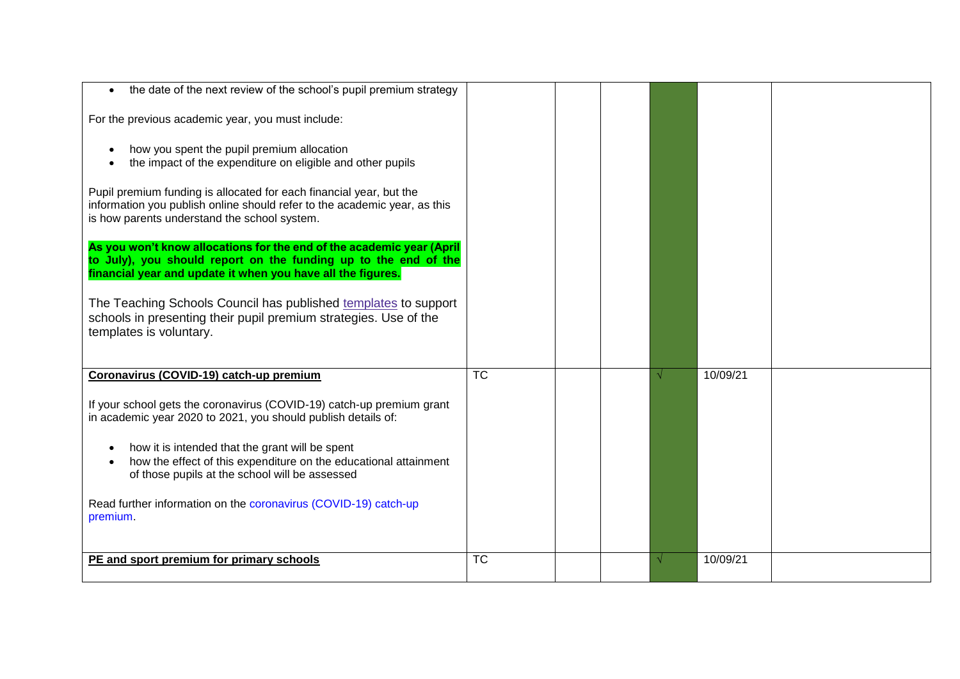| the date of the next review of the school's pupil premium strategy                                                                                                                                      |           |  |          |  |
|---------------------------------------------------------------------------------------------------------------------------------------------------------------------------------------------------------|-----------|--|----------|--|
| For the previous academic year, you must include:                                                                                                                                                       |           |  |          |  |
| how you spent the pupil premium allocation<br>the impact of the expenditure on eligible and other pupils                                                                                                |           |  |          |  |
| Pupil premium funding is allocated for each financial year, but the<br>information you publish online should refer to the academic year, as this<br>is how parents understand the school system.        |           |  |          |  |
| As you won't know allocations for the end of the academic year (April<br>to July), you should report on the funding up to the end of the<br>financial year and update it when you have all the figures. |           |  |          |  |
| The Teaching Schools Council has published templates to support<br>schools in presenting their pupil premium strategies. Use of the<br>templates is voluntary.                                          |           |  |          |  |
| Coronavirus (COVID-19) catch-up premium                                                                                                                                                                 | <b>TC</b> |  | 10/09/21 |  |
| If your school gets the coronavirus (COVID-19) catch-up premium grant<br>in academic year 2020 to 2021, you should publish details of:                                                                  |           |  |          |  |
| how it is intended that the grant will be spent<br>how the effect of this expenditure on the educational attainment<br>of those pupils at the school will be assessed                                   |           |  |          |  |
| Read further information on the coronavirus (COVID-19) catch-up<br>premium.                                                                                                                             |           |  |          |  |
| PE and sport premium for primary schools                                                                                                                                                                | <b>TC</b> |  | 10/09/21 |  |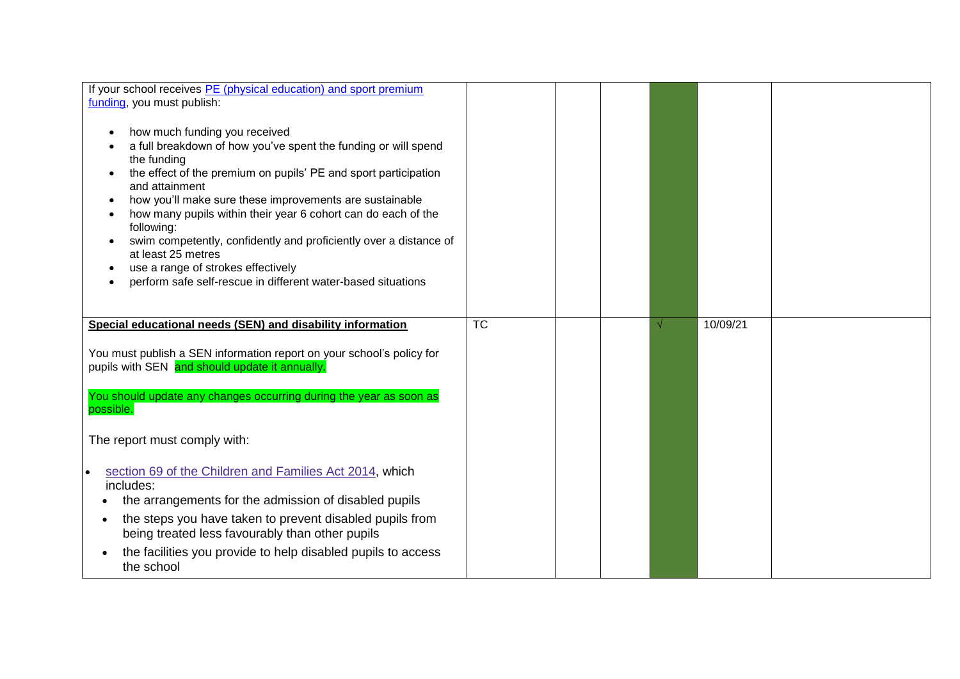| If your school receives PE (physical education) and sport premium<br>funding, you must publish:<br>how much funding you received<br>a full breakdown of how you've spent the funding or will spend<br>the funding<br>the effect of the premium on pupils' PE and sport participation<br>and attainment<br>how you'll make sure these improvements are sustainable<br>how many pupils within their year 6 cohort can do each of the<br>following:<br>swim competently, confidently and proficiently over a distance of<br>at least 25 metres<br>use a range of strokes effectively<br>perform safe self-rescue in different water-based situations |           |  |          |  |
|---------------------------------------------------------------------------------------------------------------------------------------------------------------------------------------------------------------------------------------------------------------------------------------------------------------------------------------------------------------------------------------------------------------------------------------------------------------------------------------------------------------------------------------------------------------------------------------------------------------------------------------------------|-----------|--|----------|--|
| Special educational needs (SEN) and disability information                                                                                                                                                                                                                                                                                                                                                                                                                                                                                                                                                                                        | <b>TC</b> |  | 10/09/21 |  |
| You must publish a SEN information report on your school's policy for<br>pupils with SEN and should update it annually.                                                                                                                                                                                                                                                                                                                                                                                                                                                                                                                           |           |  |          |  |
| You should update any changes occurring during the year as soon as<br>possible.                                                                                                                                                                                                                                                                                                                                                                                                                                                                                                                                                                   |           |  |          |  |
| The report must comply with:                                                                                                                                                                                                                                                                                                                                                                                                                                                                                                                                                                                                                      |           |  |          |  |
| section 69 of the Children and Families Act 2014, which<br>$\bullet$<br>includes:<br>the arrangements for the admission of disabled pupils<br>the steps you have taken to prevent disabled pupils from<br>being treated less favourably than other pupils<br>the facilities you provide to help disabled pupils to access                                                                                                                                                                                                                                                                                                                         |           |  |          |  |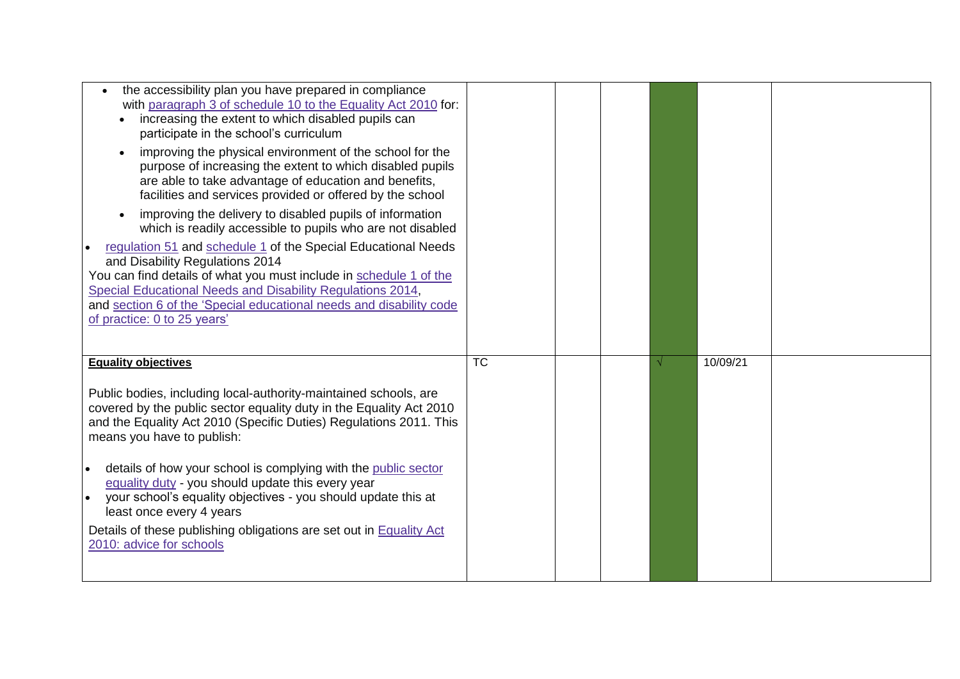| the accessibility plan you have prepared in compliance<br>with paragraph 3 of schedule 10 to the Equality Act 2010 for:<br>increasing the extent to which disabled pupils can<br>participate in the school's curriculum<br>improving the physical environment of the school for the<br>$\bullet$<br>purpose of increasing the extent to which disabled pupils<br>are able to take advantage of education and benefits,<br>facilities and services provided or offered by the school<br>improving the delivery to disabled pupils of information<br>which is readily accessible to pupils who are not disabled<br>regulation 51 and schedule 1 of the Special Educational Needs<br>and Disability Regulations 2014<br>You can find details of what you must include in schedule 1 of the<br>Special Educational Needs and Disability Regulations 2014,<br>and section 6 of the 'Special educational needs and disability code<br>of practice: 0 to 25 years' |           |  |          |  |
|-------------------------------------------------------------------------------------------------------------------------------------------------------------------------------------------------------------------------------------------------------------------------------------------------------------------------------------------------------------------------------------------------------------------------------------------------------------------------------------------------------------------------------------------------------------------------------------------------------------------------------------------------------------------------------------------------------------------------------------------------------------------------------------------------------------------------------------------------------------------------------------------------------------------------------------------------------------|-----------|--|----------|--|
| <b>Equality objectives</b><br>Public bodies, including local-authority-maintained schools, are<br>covered by the public sector equality duty in the Equality Act 2010<br>and the Equality Act 2010 (Specific Duties) Regulations 2011. This<br>means you have to publish:<br>details of how your school is complying with the public sector<br>equality duty - you should update this every year<br>your school's equality objectives - you should update this at<br>least once every 4 years<br>Details of these publishing obligations are set out in <b>Equality Act</b><br>2010: advice for schools                                                                                                                                                                                                                                                                                                                                                     | <b>TC</b> |  | 10/09/21 |  |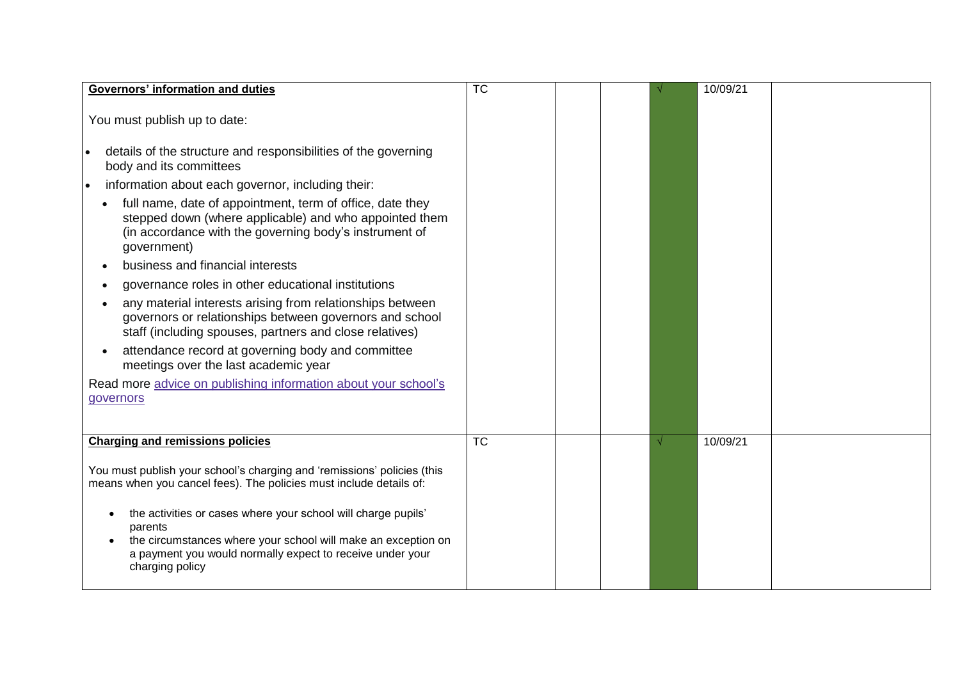| <b>Governors' information and duties</b>                                                                                                                                                                       | $\overline{\text{TC}}$ |  | 10/09/21 |  |
|----------------------------------------------------------------------------------------------------------------------------------------------------------------------------------------------------------------|------------------------|--|----------|--|
| You must publish up to date:                                                                                                                                                                                   |                        |  |          |  |
| details of the structure and responsibilities of the governing<br>body and its committees                                                                                                                      |                        |  |          |  |
| information about each governor, including their:<br>$\bullet$                                                                                                                                                 |                        |  |          |  |
| full name, date of appointment, term of office, date they<br>stepped down (where applicable) and who appointed them<br>(in accordance with the governing body's instrument of<br>government)                   |                        |  |          |  |
| business and financial interests                                                                                                                                                                               |                        |  |          |  |
| governance roles in other educational institutions                                                                                                                                                             |                        |  |          |  |
| any material interests arising from relationships between<br>governors or relationships between governors and school<br>staff (including spouses, partners and close relatives)                                |                        |  |          |  |
| attendance record at governing body and committee<br>meetings over the last academic year                                                                                                                      |                        |  |          |  |
| Read more advice on publishing information about your school's<br>governors                                                                                                                                    |                        |  |          |  |
| <b>Charging and remissions policies</b>                                                                                                                                                                        | <b>TC</b>              |  | 10/09/21 |  |
| You must publish your school's charging and 'remissions' policies (this<br>means when you cancel fees). The policies must include details of:<br>the activities or cases where your school will charge pupils' |                        |  |          |  |
| parents<br>the circumstances where your school will make an exception on<br>a payment you would normally expect to receive under your<br>charging policy                                                       |                        |  |          |  |